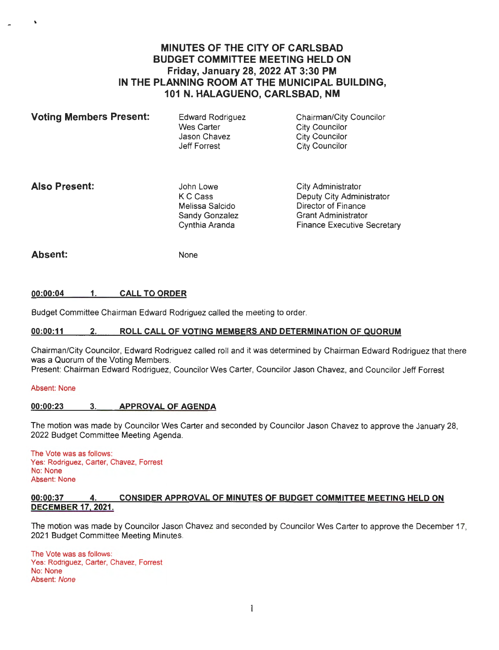# **MINUTES OF THE CITY OF CARLSBAD BUDGET COMMITTEE MEETING HELD ON Friday, January 28, 2022 AT 3:30 PM IN THE PLANNING ROOM AT THE MUNICIPAL BUILDING, 101 N. HALAGUENO, CARLSBAD, NM**

| <b>Voting Members Present:</b> | Edward Rodriguez           | Chairman/City Councilor                 |
|--------------------------------|----------------------------|-----------------------------------------|
|                                | Wes Carter<br>Jason Chavez | City Councilor<br><b>City Councilor</b> |
|                                | Jeff Forrest               | City Councilor                          |

## **Also Present:**

John Lowe KC Cass Melissa Salcido Sandy Gonzalez Cynthia Aranda

City Administrator Deputy City Administrator Director of Finance Grant Administrator Finance Executive Secretary

## **Absent:**

None

#### **00:00:04 1. CALL TO ORDER**

Budget Committee Chairman Edward Rodriguez called the meeting to order.

### **00:00:11 2. ROLL CALL OF VOTING MEMBERS AND DETERMINATION OF QUORUM**

Chairman/City Councilor, Edward Rodriguez called roll and it was determined by Chairman Edward Rodriguez that there was a Quorum of the Voting Members.

Present: Chairman Edward Rodriguez, Councilor Wes Carter, Councilor Jason Chavez, and Councilor Jeff Forrest

#### Absent: None

### **00:00:23** 3. **APPROVAL OF AGENDA**

The motion was made by Councilor Wes Carter and seconded by Councilor Jason Chavez to approve the January 28, 2022 Budget Committee Meeting Agenda.

The Vote was as follows: Yes: Rodriguez, Carter, Chavez, Forrest No: None Absent: None

#### **00:00:37 4. CONSIDER APPROVAL OF MINUTES OF BUDGET COMMITTEE MEETING HELD ON DECEMBER 17, 2021.**

The motion was made by Councilor Jason Chavez and seconded by Councilor Wes Carter to approve the December 17, 2021 Budget Committee Meeting Minutes.

The Vote was as follows: Yes: Rodriguez, Carter, Chavez, Forrest No: None Absent: None